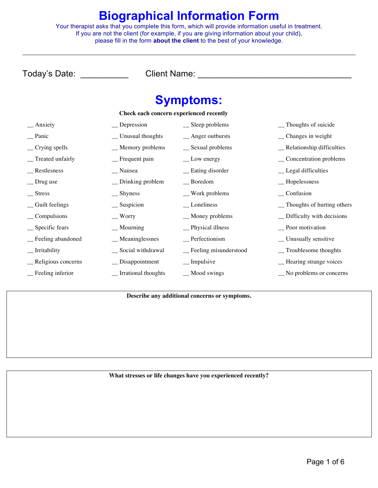#### **Biographical Information Form**

Your therapist asks that you complete this form, which will provide information useful in treatment. If you are not the client (for example, if you are giving information about your child), please fill in the form **about the client** to the best of your knowledge.

Today's Date: \_\_\_\_\_\_\_\_\_\_ Client Name: \_\_\_\_\_\_\_\_\_\_\_\_\_\_\_\_\_\_\_\_\_\_\_\_\_\_\_\_\_\_\_\_

# **Symptoms:**

| Check each concern experienced recently |                           |                         |                              |
|-----------------------------------------|---------------------------|-------------------------|------------------------------|
| $\frac{1}{2}$ Anxiety                   | $\equiv$ Depression       | $\equiv$ Sleep problems | _Thoughts of suicide         |
| $\equiv$ Panic                          | _Unusual thoughts         | $\_$ Anger outbursts    | $\equiv$ Changes in weight   |
| $\equiv$ Crying spells                  | _Memory problems          | _ Sexual problems       | _Relationship difficulties   |
| _ Treated unfairly                      | $\equiv$ Frequent pain    | $\equiv$ Low energy     | _Concentration problems      |
| _ Restlesness                           | __ Nausea                 | _ Eating disorder       | _Legal difficulties          |
| _ Drug use                              | $\equiv$ Drinking problem | $\equiv$ Boredom        | $\equiv$ Hopelessness        |
| $\equiv$ Stress                         | $\equiv$ Shyness          | $\equiv$ Work problems  | $\equiv$ Confusion           |
| _Guilt feelings                         | $\equiv$ Suspicion        | $\equiv$ Loneliness     | _ Thoughts of hurting others |
| $\_\_$ Compulsions                      | $\equiv$ Worry            | $\_$ Money problems     | _ Difficulty with decisions  |
| $\equiv$ Specific fears                 | $\equiv$ Mourning         | _Physical illness       | _Poor motivation             |
| _ Feeling abandoned                     | $\_$ Meaninglessnes       | $P$ erfectionism        | _ Unusually sensitive        |
| __ Irritability                         | _ Social withdrawal       | _ Feeling misunderstood | _Troublesome thoughts        |
| _ Religious concerns                    | $\equiv$ Disappointment   | $\equiv$ Impulsive      | - Hearing strange voices     |
| _ Feeling inferior                      | _ Irrational thoughts     | $\equiv$ Mood swings    | No problems or concerns      |

**Describe any additional concerns or symptoms.**

**What stresses or life changes have you experienced recently?**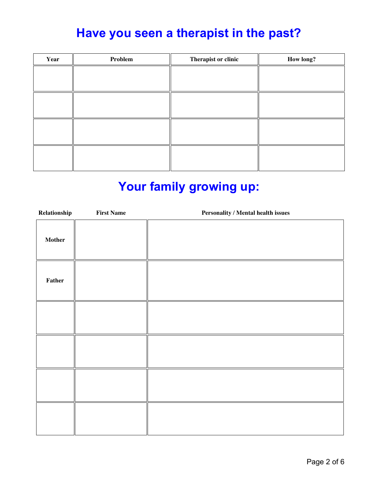## **Have you seen a therapist in the past?**

| Year | Problem | Therapist or clinic | <b>How long?</b> |
|------|---------|---------------------|------------------|
|      |         |                     |                  |
|      |         |                     |                  |
|      |         |                     |                  |
|      |         |                     |                  |
|      |         |                     |                  |
|      |         |                     |                  |
|      |         |                     |                  |
|      |         |                     |                  |

#### **Your family growing up:**

| ${\bf Relationship}$ | <b>First Name</b> | <b>Personality / Mental health issues</b> |
|----------------------|-------------------|-------------------------------------------|
| Mother               |                   |                                           |
| Father               |                   |                                           |
|                      |                   |                                           |
|                      |                   |                                           |
|                      |                   |                                           |
|                      |                   |                                           |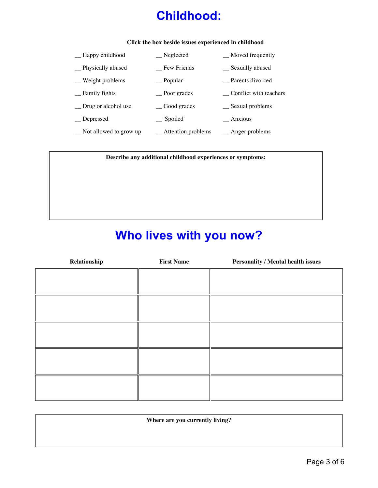## **Childhood:**

#### **Click the box beside issues experienced in childhood**

| -Happy childhood             | <sub>__</sub> Neglected     | _Moved frequently        |
|------------------------------|-----------------------------|--------------------------|
| Physically abused            | Few Friends                 | __ Sexually abused       |
| $\equiv$ Weight problems     | <sub>—</sub> Popular        | Parents divorced         |
| <b>Family fights</b>         | _ Poor grades               | Conflict with teachers   |
| $\equiv$ Drug or alcohol use | <sub>_</sub> Good grades    | $\equiv$ Sexual problems |
| Depressed                    | $\equiv$ 'Spoiled'          | $\_$ Anxious             |
| Not allowed to grow up       | $\equiv$ Attention problems | $\_\_\$ Anger problems   |

**Describe any additional childhood experiences or symptoms:**

#### **Who lives with you now?**

| Relationship | <b>First Name</b> | <b>Personality / Mental health issues</b> |
|--------------|-------------------|-------------------------------------------|
|              |                   |                                           |
|              |                   |                                           |
|              |                   |                                           |
|              |                   |                                           |
|              |                   |                                           |
|              |                   |                                           |
|              |                   |                                           |
|              |                   |                                           |
|              |                   |                                           |
|              |                   |                                           |
|              |                   |                                           |
|              |                   |                                           |

**Where are you currently living?**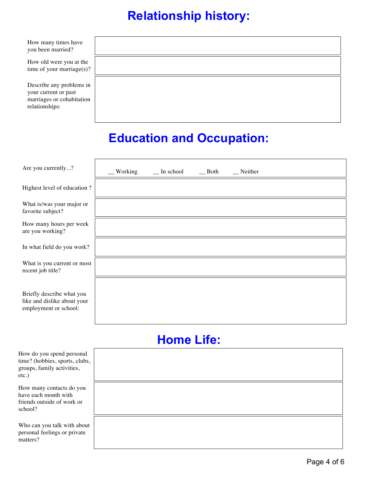## **Relationship history:**

How many times you been married

How old were yo time of your mar

Describe any pro your current or p marriages or coh relationships:

| s have<br>d?                        |  |  |  |
|-------------------------------------|--|--|--|
| ou at the<br>$\text{triangle}(s)$ ? |  |  |  |
| oblems in<br>oast<br>abitation      |  |  |  |

## **Education and Occupation:**

| Are you currently?                                                                | Working<br>$\equiv$ In school<br>$\equiv$ Both<br>$\equiv$ Neither |
|-----------------------------------------------------------------------------------|--------------------------------------------------------------------|
| Highest level of education?                                                       |                                                                    |
| What is/was your major or<br>favorite subject?                                    |                                                                    |
| How many hours per week<br>are you working?                                       |                                                                    |
| In what field do you work?                                                        |                                                                    |
| What is you current or most<br>recent job title?                                  |                                                                    |
| Briefly describe what you<br>like and dislike about your<br>employment or school: |                                                                    |

# **Home Life:**

| How do you spend personal<br>time? (hobbies, sports, clubs,<br>groups, family activities,<br>$etc.$ ) |  |
|-------------------------------------------------------------------------------------------------------|--|
| How many contacts do you<br>have each month with<br>friends outside of work or<br>school?             |  |
| Who can you talk with about<br>personal feelings or private<br>matters?                               |  |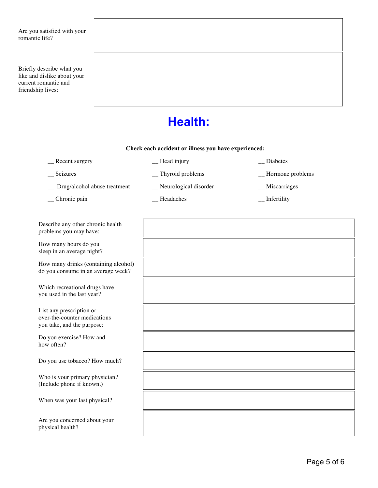Are you satisfied with your romantic life?

Briefly describe what you like and dislike about your current romantic and friendship lives:

#### **Health:**

#### **Check each accident or illness you have experienced:**

\_\_ Recent surgery \_\_ Head injury \_\_ Diabetes

\_\_ Drug/alcohol abuse treatment \_\_ Neurological disorder \_\_ Miscarriages

\_\_ Chronic pain \_\_ Headaches \_\_ Infertility

Describe any other chronic health problems you may have:

How many hours do you sleep in an average night?

How many drinks (containing alcoh do you consume in an average weel

Which recreational drugs have you used in the last year?

List any prescription or over-the-counter medications you take, and the purpose:

Do you exercise? How and how often?

Do you use tobacco? How much?

Who is your primary physician? (Include phone if known.)

When was your last physical?

Are you concerned about your physical health?

\_\_ Seizures \_\_ Thyroid problems \_\_ Hormone problems

| hol)<br>k? |  |
|------------|--|
|            |  |
|            |  |
|            |  |
|            |  |
|            |  |
|            |  |
|            |  |
|            |  |
|            |  |
|            |  |
|            |  |
|            |  |
|            |  |
|            |  |
|            |  |
|            |  |
|            |  |
|            |  |
|            |  |
|            |  |
|            |  |
|            |  |
|            |  |
|            |  |
|            |  |
|            |  |
|            |  |
|            |  |
|            |  |
|            |  |
|            |  |
|            |  |
|            |  |
|            |  |